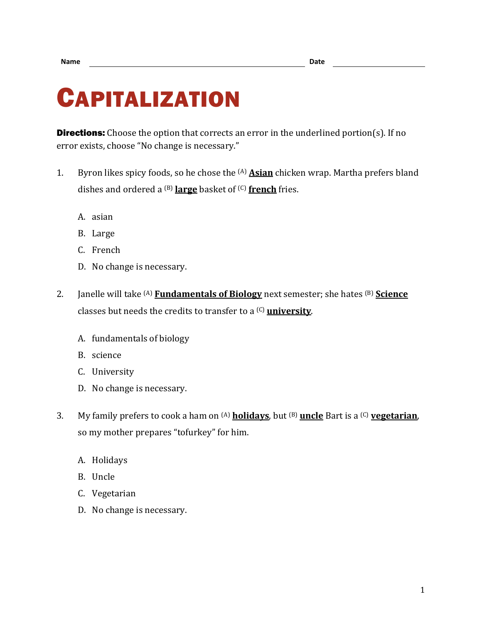## CAPITALIZATION

**Directions:** Choose the option that corrects an error in the underlined portion(s). If no error exists, choose "No change is necessary."

- 1. Byron likes spicy foods, so he chose the (A) **Asian** chicken wrap. Martha prefers bland dishes and ordered a (B) **large** basket of (C) **french** fries.
	- A. asian
	- B. Large
	- C. French
	- D. No change is necessary.
- 2. Janelle will take (A) **Fundamentals of Biology** next semester; she hates (B) **Science** classes but needs the credits to transfer to a (C) **university**.
	- A. fundamentals of biology
	- B. science
	- C. University
	- D. No change is necessary.
- 3. My family prefers to cook a ham on (A) **holidays**, but (B) **uncle** Bart is a (C) **vegetarian**, so my mother prepares "tofurkey" for him.
	- A. Holidays
	- B. Uncle
	- C. Vegetarian
	- D. No change is necessary.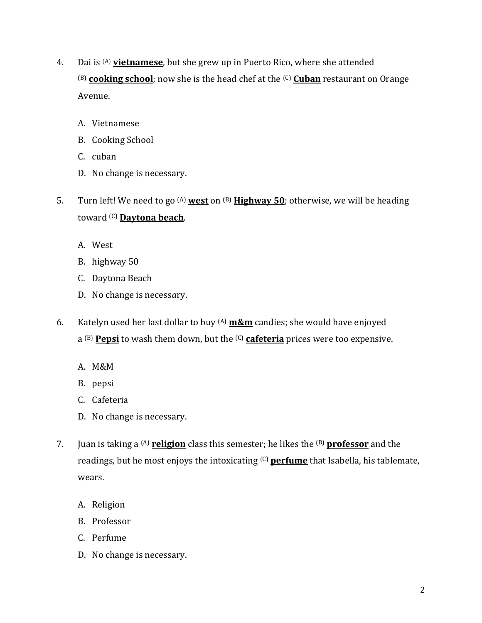- 4. Dai is (A) **vietnamese**, but she grew up in Puerto Rico, where she attended (B) **cooking school**; now she is the head chef at the (C) **Cuban** restaurant on Orange Avenue.
	- A. Vietnamese
	- B. Cooking School
	- C. cuban
	- D. No change is necessary.
- 5. Turn left! We need to go (A) **west** on (B) **Highway 50**; otherwise, we will be heading toward (C) **Daytona beach**.
	- A. West
	- B. highway 50
	- C. Daytona Beach
	- D. No change is necess*a*ry.
- 6. Katelyn used her last dollar to buy (A) **m&m** candies; she would have enjoyed a (B) **Pepsi** to wash them down, but the (C) **cafeteria** prices were too expensive.
	- A. M&M
	- B. pepsi
	- C. Cafeteria
	- D. No change is necessary.
- 7. Juan is taking a (A) **religion** class this semester; he likes the (B) **professor** and the readings, but he most enjoys the intoxicating (C) **perfume** that Isabella, his tablemate, wears.
	- A. Religion
	- B. Professor
	- C. Perfume
	- D. No change is necessary.